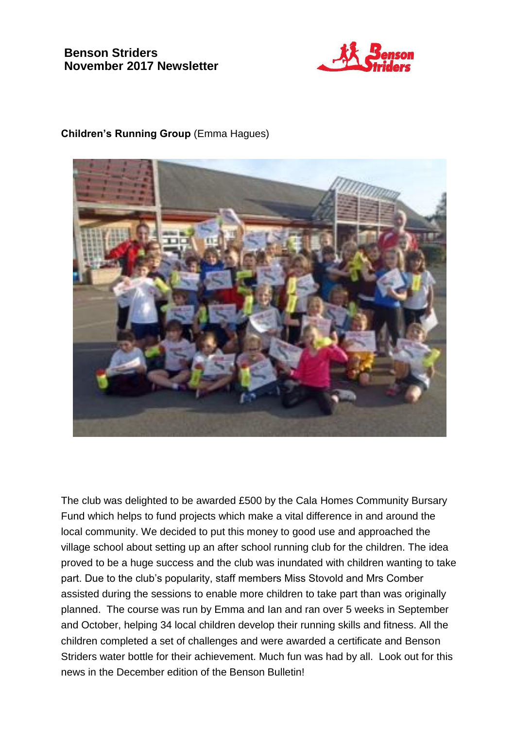# **Benson Striders November 2017 Newsletter**



### **Children's Running Group** (Emma Hagues)



The club was delighted to be awarded £500 by the Cala Homes Community Bursary Fund which helps to fund projects which make a vital difference in and around the local community. We decided to put this money to good use and approached the village school about setting up an after school running club for the children. The idea proved to be a huge success and the club was inundated with children wanting to take part. Due to the club's popularity, staff members Miss Stovold and Mrs Comber assisted during the sessions to enable more children to take part than was originally planned. The course was run by Emma and Ian and ran over 5 weeks in September and October, helping 34 local children develop their running skills and fitness. All the children completed a set of challenges and were awarded a certificate and Benson Striders water bottle for their achievement. Much fun was had by all. Look out for this news in the December edition of the Benson Bulletin!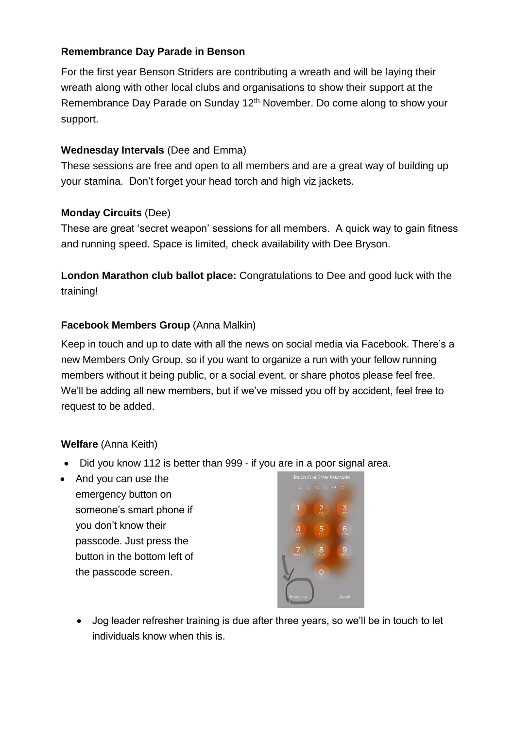## **Remembrance Day Parade in Benson**

For the first year Benson Striders are contributing a wreath and will be laying their wreath along with other local clubs and organisations to show their support at the Remembrance Day Parade on Sunday 12<sup>th</sup> November. Do come along to show your support.

## **Wednesday Intervals** (Dee and Emma)

These sessions are free and open to all members and are a great way of building up your stamina. Don't forget your head torch and high viz jackets.

## **Monday Circuits** (Dee)

These are great 'secret weapon' sessions for all members. A quick way to gain fitness and running speed. Space is limited, check availability with Dee Bryson.

**London Marathon club ballot place:** Congratulations to Dee and good luck with the training!

## **Facebook Members Group** (Anna Malkin)

Keep in touch and up to date with all the news on social media via Facebook. There's a new Members Only Group, so if you want to organize a run with your fellow running members without it being public, or a social event, or share photos please feel free. We'll be adding all new members, but if we've missed you off by accident, feel free to request to be added.

## **Welfare** (Anna Keith)

- Did you know 112 is better than 999 if you are in a poor signal area.
- And you can use the emergency button on someone's smart phone if you don't know their passcode. Just press the button in the bottom left of the passcode screen.



• Jog leader refresher training is due after three years, so we'll be in touch to let individuals know when this is.